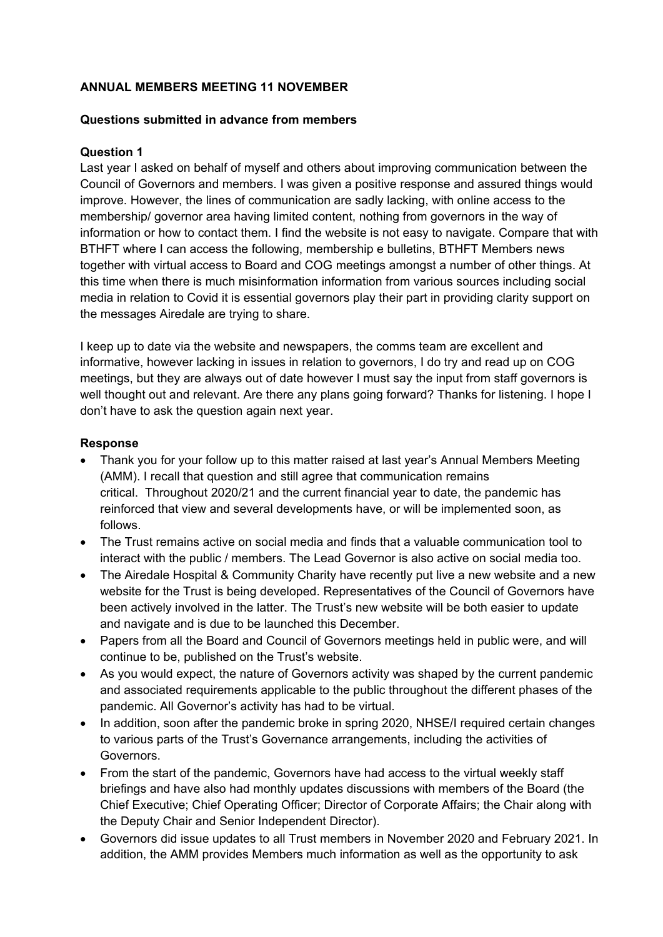### **ANNUAL MEMBERS MEETING 11 NOVEMBER**

### **Questions submitted in advance from members**

### **Question 1**

Last year I asked on behalf of myself and others about improving communication between the Council of Governors and members. I was given a positive response and assured things would improve. However, the lines of communication are sadly lacking, with online access to the membership/ governor area having limited content, nothing from governors in the way of information or how to contact them. I find the website is not easy to navigate. Compare that with BTHFT where I can access the following, membership e bulletins, BTHFT Members news together with virtual access to Board and COG meetings amongst a number of other things. At this time when there is much misinformation information from various sources including social media in relation to Covid it is essential governors play their part in providing clarity support on the messages Airedale are trying to share.

I keep up to date via the website and newspapers, the comms team are excellent and informative, however lacking in issues in relation to governors, I do try and read up on COG meetings, but they are always out of date however I must say the input from staff governors is well thought out and relevant. Are there any plans going forward? Thanks for listening. I hope I don't have to ask the question again next year.

### **Response**

- Thank you for your follow up to this matter raised at last year's Annual Members Meeting (AMM). I recall that question and still agree that communication remains critical. Throughout 2020/21 and the current financial year to date, the pandemic has reinforced that view and several developments have, or will be implemented soon, as follows.
- The Trust remains active on social media and finds that a valuable communication tool to interact with the public / members. The Lead Governor is also active on social media too.
- The Airedale Hospital & Community Charity have recently put live a new website and a new website for the Trust is being developed. Representatives of the Council of Governors have been actively involved in the latter. The Trust's new website will be both easier to update and navigate and is due to be launched this December.
- Papers from all the Board and Council of Governors meetings held in public were, and will continue to be, published on the Trust's website.
- As you would expect, the nature of Governors activity was shaped by the current pandemic and associated requirements applicable to the public throughout the different phases of the pandemic. All Governor's activity has had to be virtual.
- In addition, soon after the pandemic broke in spring 2020, NHSE/I required certain changes to various parts of the Trust's Governance arrangements, including the activities of Governors.
- From the start of the pandemic, Governors have had access to the virtual weekly staff briefings and have also had monthly updates discussions with members of the Board (the Chief Executive; Chief Operating Officer; Director of Corporate Affairs; the Chair along with the Deputy Chair and Senior Independent Director).
- Governors did issue updates to all Trust members in November 2020 and February 2021. In addition, the AMM provides Members much information as well as the opportunity to ask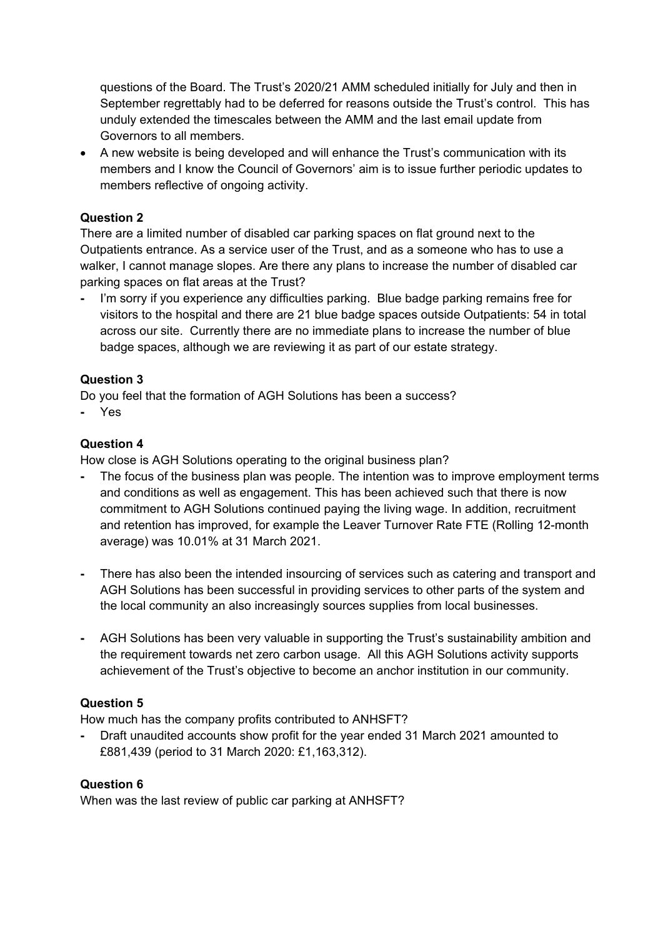questions of the Board. The Trust's 2020/21 AMM scheduled initially for July and then in September regrettably had to be deferred for reasons outside the Trust's control. This has unduly extended the timescales between the AMM and the last email update from Governors to all members.

 A new website is being developed and will enhance the Trust's communication with its members and I know the Council of Governors' aim is to issue further periodic updates to members reflective of ongoing activity.

# **Question 2**

There are a limited number of disabled car parking spaces on flat ground next to the Outpatients entrance. As a service user of the Trust, and as a someone who has to use a walker, I cannot manage slopes. Are there any plans to increase the number of disabled car parking spaces on flat areas at the Trust?

**-** I'm sorry if you experience any difficulties parking. Blue badge parking remains free for visitors to the hospital and there are 21 blue badge spaces outside Outpatients: 54 in total across our site. Currently there are no immediate plans to increase the number of blue badge spaces, although we are reviewing it as part of our estate strategy.

# **Question 3**

Do you feel that the formation of AGH Solutions has been a success?

**-** Yes

# **Question 4**

How close is AGH Solutions operating to the original business plan?

- The focus of the business plan was people. The intention was to improve employment terms and conditions as well as engagement. This has been achieved such that there is now commitment to AGH Solutions continued paying the living wage. In addition, recruitment and retention has improved, for example the Leaver Turnover Rate FTE (Rolling 12-month average) was 10.01% at 31 March 2021.
- There has also been the intended insourcing of services such as catering and transport and AGH Solutions has been successful in providing services to other parts of the system and the local community an also increasingly sources supplies from local businesses.
- AGH Solutions has been very valuable in supporting the Trust's sustainability ambition and the requirement towards net zero carbon usage. All this AGH Solutions activity supports achievement of the Trust's objective to become an anchor institution in our community.

# **Question 5**

How much has the company profits contributed to ANHSFT?

**-** Draft unaudited accounts show profit for the year ended 31 March 2021 amounted to £881,439 (period to 31 March 2020: £1,163,312).

# **Question 6**

When was the last review of public car parking at ANHSFT?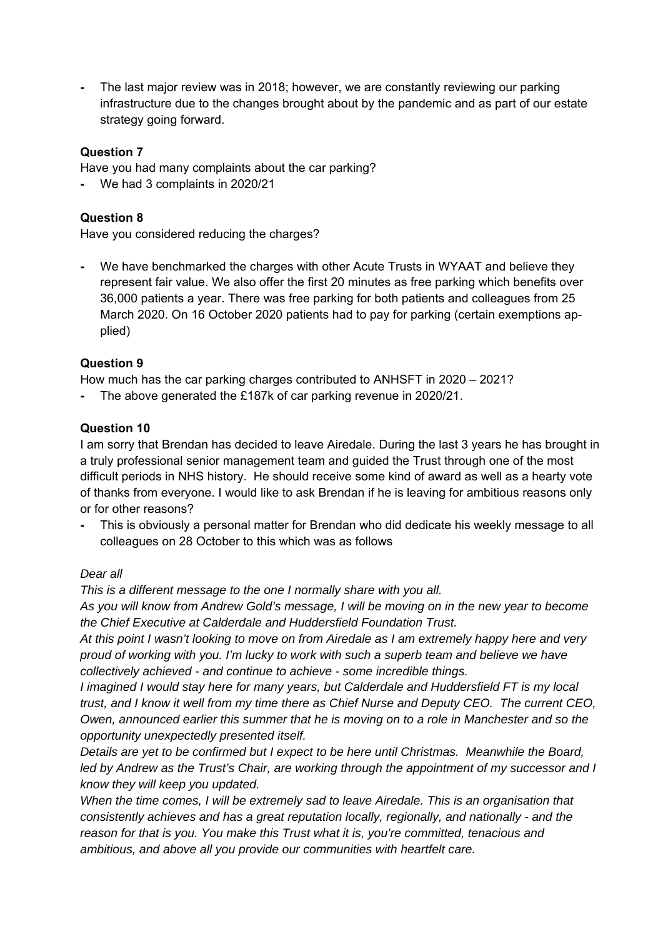**-** The last major review was in 2018; however, we are constantly reviewing our parking infrastructure due to the changes brought about by the pandemic and as part of our estate strategy going forward.

### **Question 7**

Have you had many complaints about the car parking?

**-** We had 3 complaints in 2020/21

### **Question 8**

Have you considered reducing the charges?

**-** We have benchmarked the charges with other Acute Trusts in WYAAT and believe they represent fair value. We also offer the first 20 minutes as free parking which benefits over 36,000 patients a year. There was free parking for both patients and colleagues from 25 March 2020. On 16 October 2020 patients had to pay for parking (certain exemptions applied)

# **Question 9**

How much has the car parking charges contributed to ANHSFT in 2020 – 2021?

**-** The above generated the £187k of car parking revenue in 2020/21.

### **Question 10**

I am sorry that Brendan has decided to leave Airedale. During the last 3 years he has brought in a truly professional senior management team and guided the Trust through one of the most difficult periods in NHS history. He should receive some kind of award as well as a hearty vote of thanks from everyone. I would like to ask Brendan if he is leaving for ambitious reasons only or for other reasons?

**-** This is obviously a personal matter for Brendan who did dedicate his weekly message to all colleagues on 28 October to this which was as follows

### *Dear all*

*This is a different message to the one I normally share with you all.* 

*As you will know from Andrew Gold's message, I will be moving on in the new year to become the Chief Executive at Calderdale and Huddersfield Foundation Trust.* 

*At this point I wasn't looking to move on from Airedale as I am extremely happy here and very proud of working with you. I'm lucky to work with such a superb team and believe we have collectively achieved - and continue to achieve - some incredible things.* 

*I imagined I would stay here for many years, but Calderdale and Huddersfield FT is my local trust, and I know it well from my time there as Chief Nurse and Deputy CEO. The current CEO, Owen, announced earlier this summer that he is moving on to a role in Manchester and so the opportunity unexpectedly presented itself.* 

*Details are yet to be confirmed but I expect to be here until Christmas. Meanwhile the Board, led by Andrew as the Trust's Chair, are working through the appointment of my successor and I know they will keep you updated.* 

*When the time comes, I will be extremely sad to leave Airedale. This is an organisation that consistently achieves and has a great reputation locally, regionally, and nationally - and the reason for that is you. You make this Trust what it is, you're committed, tenacious and ambitious, and above all you provide our communities with heartfelt care.*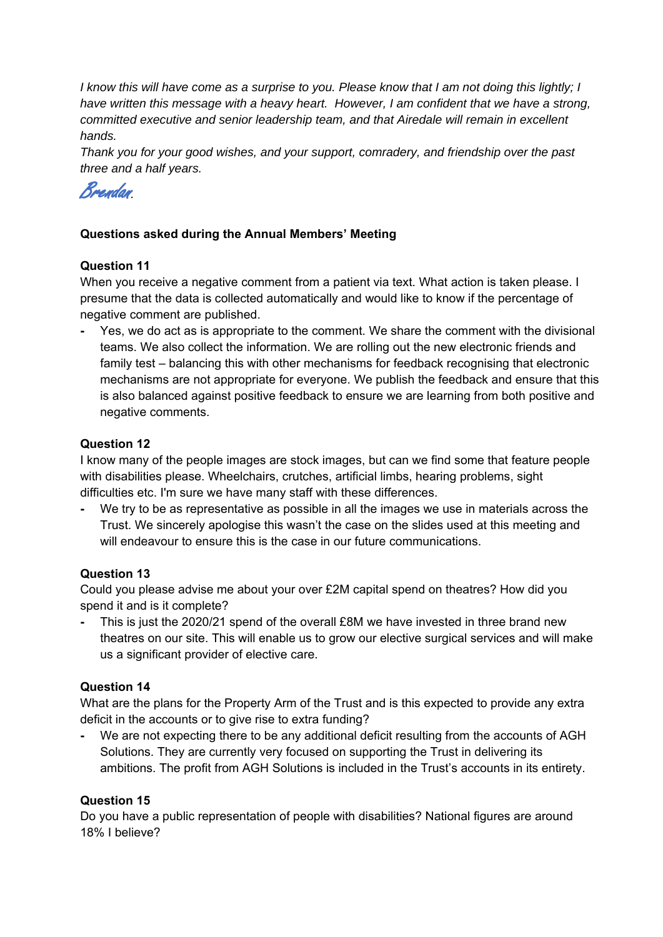*I know this will have come as a surprise to you. Please know that I am not doing this lightly; I have written this message with a heavy heart. However, I am confident that we have a strong, committed executive and senior leadership team, and that Airedale will remain in excellent hands.* 

*Thank you for your good wishes, and your support, comradery, and friendship over the past three and a half years.* 



# **Questions asked during the Annual Members' Meeting**

# **Question 11**

When you receive a negative comment from a patient via text. What action is taken please. I presume that the data is collected automatically and would like to know if the percentage of negative comment are published.

**-** Yes, we do act as is appropriate to the comment. We share the comment with the divisional teams. We also collect the information. We are rolling out the new electronic friends and family test – balancing this with other mechanisms for feedback recognising that electronic mechanisms are not appropriate for everyone. We publish the feedback and ensure that this is also balanced against positive feedback to ensure we are learning from both positive and negative comments.

### **Question 12**

I know many of the people images are stock images, but can we find some that feature people with disabilities please. Wheelchairs, crutches, artificial limbs, hearing problems, sight difficulties etc. I'm sure we have many staff with these differences.

**-** We try to be as representative as possible in all the images we use in materials across the Trust. We sincerely apologise this wasn't the case on the slides used at this meeting and will endeavour to ensure this is the case in our future communications.

# **Question 13**

Could you please advise me about your over £2M capital spend on theatres? How did you spend it and is it complete?

**-** This is just the 2020/21 spend of the overall £8M we have invested in three brand new theatres on our site. This will enable us to grow our elective surgical services and will make us a significant provider of elective care.

### **Question 14**

What are the plans for the Property Arm of the Trust and is this expected to provide any extra deficit in the accounts or to give rise to extra funding?

We are not expecting there to be any additional deficit resulting from the accounts of AGH Solutions. They are currently very focused on supporting the Trust in delivering its ambitions. The profit from AGH Solutions is included in the Trust's accounts in its entirety.

# **Question 15**

Do you have a public representation of people with disabilities? National figures are around 18% I believe?